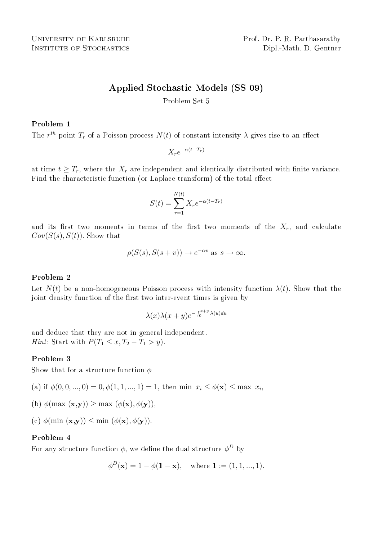UNIVERSITY OF KARLSRUHE Prof. Dr. P. R. Parthasarathy INSTITUTE OF STOCHASTICS Dipl.-Math. D. Gentner

# Applied Stochastic Models (SS 09)

Problem Set 5

## Problem 1

The  $r^{th}$  point  $T_r$  of a Poisson process  $N(t)$  of constant intensity  $\lambda$  gives rise to an effect

$$
X_r e^{-\alpha(t - T_r)}
$$

at time  $t \geq T_r$ , where the  $X_r$  are independent and identically distributed with finite variance. Find the characteristic function (or Laplace transform) of the total effect

$$
S(t) = \sum_{r=1}^{N(t)} X_r e^{-\alpha(t - T_r)}
$$

and its first two moments in terms of the first two moments of the  $X_r$ , and calculate  $Cov(S(s), S(t))$ . Show that

$$
\rho(S(s), S(s+v)) \to e^{-\alpha v} \text{ as } s \to \infty.
$$

### Problem 2

Let  $N(t)$  be a non-homogeneous Poisson process with intensity function  $\lambda(t)$ . Show that the joint density function of the first two inter-event times is given by

$$
\lambda(x)\lambda(x+y)e^{-\int_0^{x+y} \lambda(u)du}
$$

and deduce that they are not in general independent. *Hint*: Start with  $P(T_1 \leq x, T_2 - T_1 > y)$ .

### Problem 3

Show that for a structure function  $\phi$ 

(a) if  $\phi(0,0,...,0) = 0, \phi(1,1,...,1) = 1$ , then min  $x_i \leq \phi(\mathbf{x}) \leq \max x_i$ ,

- (b)  $\phi(\max(\mathbf{x}, \mathbf{y})) \geq \max(\phi(\mathbf{x}), \phi(\mathbf{y}))$
- (c)  $\phi(\min(\mathbf{x}, \mathbf{y})) \leq \min(\phi(\mathbf{x}), \phi(\mathbf{y})).$

#### Problem 4

For any structure function  $\phi$ , we define the dual structure  $\phi^D$  by

$$
\phi^D(\mathbf{x}) = 1 - \phi(\mathbf{1} - \mathbf{x}), \text{ where } \mathbf{1} := (1, 1, ..., 1).
$$